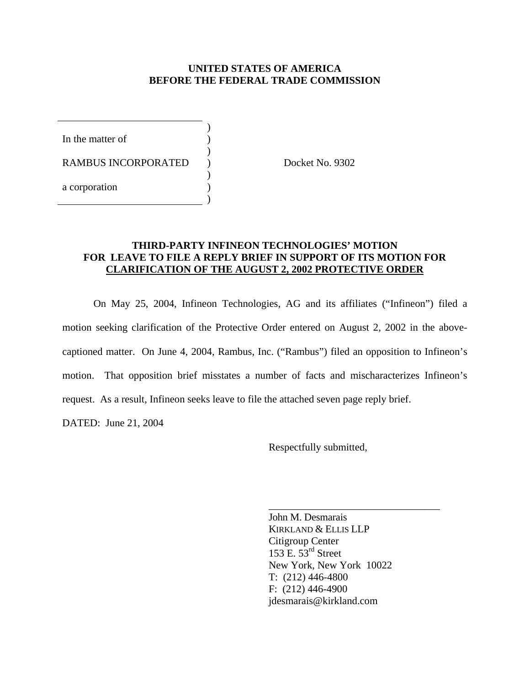#### **UNITED STATES OF AMERICA BEFORE THE FEDERAL TRADE COMMISSION**

In the matter of  $\qquad \qquad$  )

RAMBUS INCORPORATED ) Docket No. 9302

 $\overline{\phantom{a}}$ 

 $\overline{\phantom{a}}$ 

 $\overline{\phantom{a}}$ 

 $\overline{\phantom{a}}$ 

a corporation )

### **THIRD-PARTY INFINEON TECHNOLOGIES' MOTION FOR LEAVE TO FILE A REPLY BRIEF IN SUPPORT OF ITS MOTION FOR CLARIFICATION OF THE AUGUST 2, 2002 PROTECTIVE ORDER**

 On May 25, 2004, Infineon Technologies, AG and its affiliates ("Infineon") filed a motion seeking clarification of the Protective Order entered on August 2, 2002 in the abovecaptioned matter. On June 4, 2004, Rambus, Inc. ("Rambus") filed an opposition to Infineon's motion. That opposition brief misstates a number of facts and mischaracterizes Infineon's request. As a result, Infineon seeks leave to file the attached seven page reply brief.

DATED: June 21, 2004

Respectfully submitted,

John M. Desmarais KIRKLAND & ELLIS LLP Citigroup Center 153 E.  $53<sup>rd</sup>$  Street New York, New York 10022 T: (212) 446-4800 F: (212) 446-4900 jdesmarais@kirkland.com

\_\_\_\_\_\_\_\_\_\_\_\_\_\_\_\_\_\_\_\_\_\_\_\_\_\_\_\_\_\_\_\_\_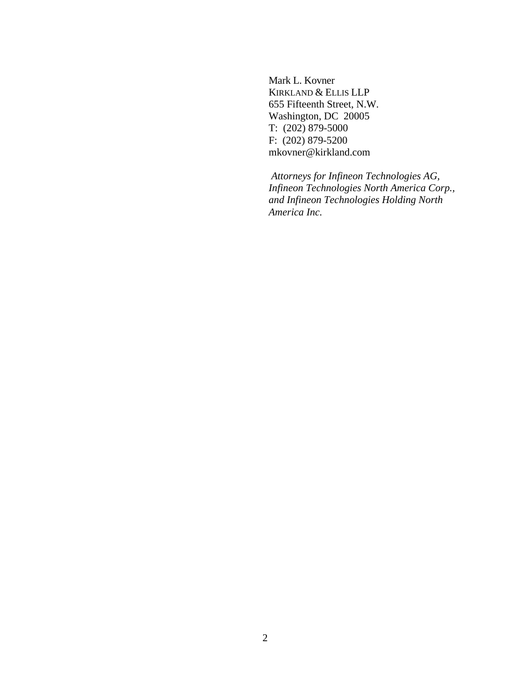Mark L. Kovner KIRKLAND & ELLIS LLP 655 Fifteenth Street, N.W. Washington, DC 20005 T: (202) 879-5000 F: (202) 879-5200 mkovner@kirkland.com

 *Attorneys for Infineon Technologies AG, Infineon Technologies North America Corp., and Infineon Technologies Holding North America Inc.*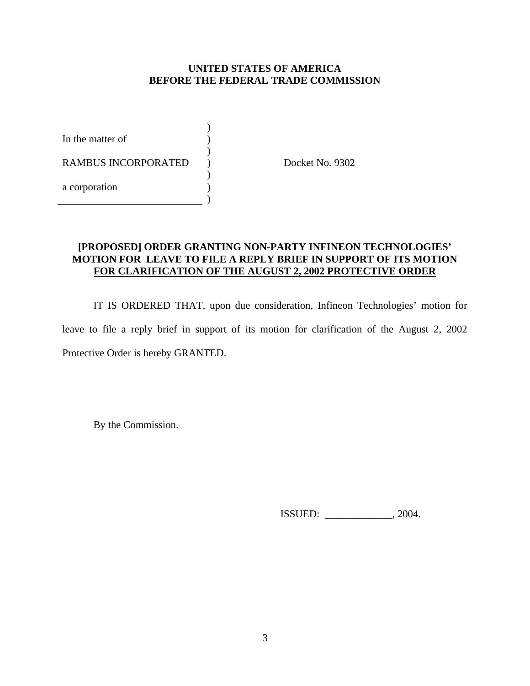## **UNITED STATES OF AMERICA BEFORE THE FEDERAL TRADE COMMISSION**

In the matter of  $\qquad \qquad$  )

RAMBUS INCORPORATED ) Docket No. 9302

 $\overline{\phantom{a}}$ 

 $\overline{\phantom{a}}$ 

 $\overline{\phantom{a}}$ 

 $\overline{\phantom{a}}$ 

a corporation (a)

# **[PROPOSED] ORDER GRANTING NON-PARTY INFINEON TECHNOLOGIES' MOTION FOR LEAVE TO FILE A REPLY BRIEF IN SUPPORT OF ITS MOTION FOR CLARIFICATION OF THE AUGUST 2, 2002 PROTECTIVE ORDER**

 IT IS ORDERED THAT, upon due consideration, Infineon Technologies' motion for leave to file a reply brief in support of its motion for clarification of the August 2, 2002 Protective Order is hereby GRANTED.

By the Commission.

ISSUED: \_\_\_\_\_\_\_\_\_\_\_\_\_, 2004.